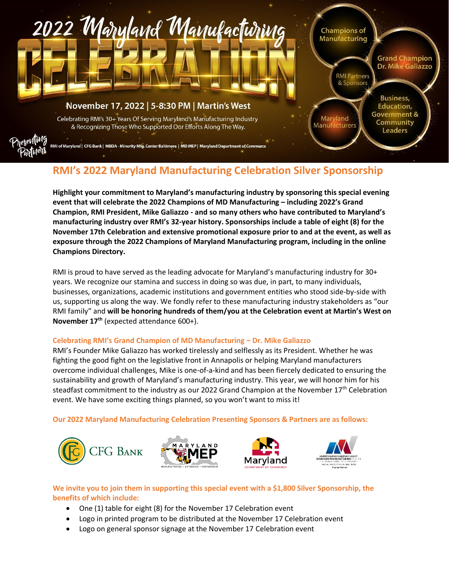

## **RMI's 2022 Maryland Manufacturing Celebration Silver Sponsorship**

**Highlight your commitment to Maryland's manufacturing industry by sponsoring this special evening event that will celebrate the 2022 Champions of MD Manufacturing – including 2022's Grand Champion, RMI President, Mike Galiazzo - and so many others who have contributed to Maryland's manufacturing industry over RMI's 32-year history. Sponsorships include a table of eight (8) for the November 17th Celebration and extensive promotional exposure prior to and at the event, as well as exposure through the 2022 Champions of Maryland Manufacturing program, including in the online Champions Directory.**

RMI is proud to have served as the leading advocate for Maryland's manufacturing industry for 30+ years. We recognize our stamina and success in doing so was due, in part, to many individuals, businesses, organizations, academic institutions and government entities who stood side-by-side with us, supporting us along the way. We fondly refer to these manufacturing industry stakeholders as "our RMI family" and **will be honoring hundreds of them/you at the Celebration event at Martin's West on November 17th** (expected attendance 600+).

## **Celebrating RMI's Grand Champion of MD Manufacturing – Dr. Mike Galiazzo**

RMI's Founder Mike Galiazzo has worked tirelessly and selflessly as its President. Whether he was fighting the good fight on the legislative front in Annapolis or helping Maryland manufacturers overcome individual challenges, Mike is one-of-a-kind and has been fiercely dedicated to ensuring the sustainability and growth of Maryland's manufacturing industry. This year, we will honor him for his steadfast commitment to the industry as our 2022 Grand Champion at the November 17<sup>th</sup> Celebration event. We have some exciting things planned, so you won't want to miss it!

**Our 2022 Maryland Manufacturing Celebration Presenting Sponsors & Partners are as follows:**



## **We invite you to join them in supporting this special event with a \$1,800 Silver Sponsorship, the benefits of which include:**

- One (1) table for eight (8) for the November 17 Celebration event
- Logo in printed program to be distributed at the November 17 Celebration event
- Logo on general sponsor signage at the November 17 Celebration event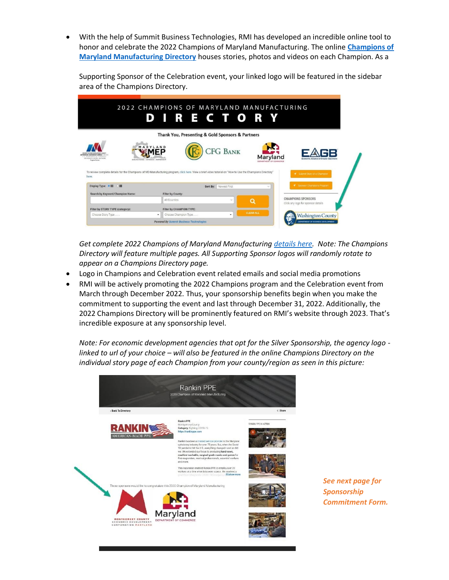• With the help of Summit Business Technologies, RMI has developed an incredible online tool to honor and celebrate the 2022 Champions of Maryland Manufacturing. The online **[Champions of](https://rmiofmaryland.com/2022-champions-of-maryland-manufacturing-directory/)  [Maryland Manufacturing Directory](https://rmiofmaryland.com/2022-champions-of-maryland-manufacturing-directory/)** houses stories, photos and videos on each Champion. As a

Supporting Sponsor of the Celebration event, your linked logo will be featured in the sidebar area of the Champions Directory.

| MARYLAND<br><b>CFG BANK</b><br>MEP<br><b>MANUFACTURES</b><br>Maryland<br><b>DREADTHENT OR COMMENT</b><br>MID-ATLANDE CENTRAL BALTIMORE<br>MANUFACTORING - EXTENSION - PARTNERSHIP<br><b>Norwa Ruman</b><br>DEDARTMENT OF COMMERC<br>To review complete details for the Champions of MD Manufacturing program, click here. View a brief video tutorial on "How to Use the Champions Directory"<br>Submit Story of a Champion<br>here.<br>Sporser Champions Program<br>Display Type: # H<br>$O$ H<br>Sort By: Newest First<br>÷<br>Search by Keyword/Champion Name:<br>Filter by County:<br><b>CHAMPIONS SPONSORS</b><br>All Counties<br>$\sim$<br>О |                                  | Thank You, Presenting & Gold Sponsors & Partners | <b>DIRECTORY</b>                                                                                                                                                                                                                     |                                    |
|----------------------------------------------------------------------------------------------------------------------------------------------------------------------------------------------------------------------------------------------------------------------------------------------------------------------------------------------------------------------------------------------------------------------------------------------------------------------------------------------------------------------------------------------------------------------------------------------------------------------------------------------------|----------------------------------|--------------------------------------------------|--------------------------------------------------------------------------------------------------------------------------------------------------------------------------------------------------------------------------------------|------------------------------------|
|                                                                                                                                                                                                                                                                                                                                                                                                                                                                                                                                                                                                                                                    |                                  |                                                  |                                                                                                                                                                                                                                      |                                    |
|                                                                                                                                                                                                                                                                                                                                                                                                                                                                                                                                                                                                                                                    |                                  |                                                  |                                                                                                                                                                                                                                      |                                    |
|                                                                                                                                                                                                                                                                                                                                                                                                                                                                                                                                                                                                                                                    |                                  |                                                  |                                                                                                                                                                                                                                      |                                    |
| <b>CLEAR ALL</b>                                                                                                                                                                                                                                                                                                                                                                                                                                                                                                                                                                                                                                   | Filter by STORY TYPE (category): | Filter by CHAMPION TYPE:                         | <u> The Company of the Company of the Company of the Company of the Company of the Company of the Company of the Company of the Company of the Company of the Company of the Company of the Company of the Company of the Compan</u> | Click any logo for sponsor details |

*Get complete 2022 Champions of Maryland Manufacturin[g details here.](https://rmiofmaryland.com/rmis-2022-champions-of-maryland-manufacturing/) Note: The Champions Directory will feature multiple pages. All Supporting Sponsor logos will randomly rotate to appear on a Champions Directory page.*

- Logo in Champions and Celebration event related emails and social media promotions
- RMI will be actively promoting the 2022 Champions program and the Celebration event from March through December 2022. Thus, your sponsorship benefits begin when you make the commitment to supporting the event and last through December 31, 2022. Additionally, the 2022 Champions Directory will be prominently featured on RMI's website through 2023. That's incredible exposure at any sponsorship level.

*Note: For economic development agencies that opt for the Silver Sponsorship, the agency logo linked to url of your choice – will also be featured in the online Champions Directory on the individual story page of each Champion from your county/region as seen in this picture:*



*See next page for Sponsorship Commitment Form.*